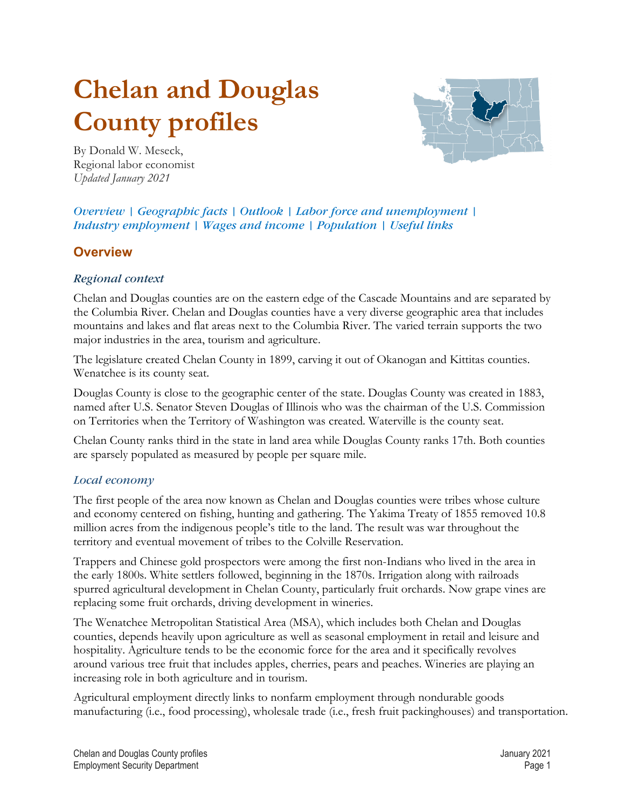# <span id="page-0-0"></span>**Chelan and Douglas County profiles**



By Donald W. Meseck, Regional labor economist *Updated January 2021*

*Overview | [Geographic facts](#page-1-0) | [Outlook](#page-1-1) | [Labor force and unemployment](#page-2-0) | [Industry employment](#page-2-1) | [Wages and income](#page-8-0) | [Population](#page-9-0) | [Useful links](#page-11-0)*

# **[Overview](#page-0-0)**

#### *Regional context*

Chelan and Douglas counties are on the eastern edge of the Cascade Mountains and are separated by the Columbia River. Chelan and Douglas counties have a very diverse geographic area that includes mountains and lakes and flat areas next to the Columbia River. The varied terrain supports the two major industries in the area, tourism and agriculture.

The legislature created Chelan County in 1899, carving it out of Okanogan and Kittitas counties. Wenatchee is its county seat.

Douglas County is close to the geographic center of the state. Douglas County was created in 1883, named after U.S. Senator Steven Douglas of Illinois who was the chairman of the U.S. Commission on Territories when the Territory of Washington was created. Waterville is the county seat.

Chelan County ranks third in the state in land area while Douglas County ranks 17th. Both counties are sparsely populated as measured by people per square mile.

#### *[Local economy](#page-0-0)*

The first people of the area now known as Chelan and Douglas counties were tribes whose culture and economy centered on fishing, hunting and gathering. The Yakima Treaty of 1855 removed 10.8 million acres from the indigenous people's title to the land. The result was war throughout the territory and eventual movement of tribes to the Colville Reservation.

Trappers and Chinese gold prospectors were among the first non-Indians who lived in the area in the early 1800s. White settlers followed, beginning in the 1870s. Irrigation along with railroads spurred agricultural development in Chelan County, particularly fruit orchards. Now grape vines are replacing some fruit orchards, driving development in wineries.

The Wenatchee Metropolitan Statistical Area (MSA), which includes both Chelan and Douglas counties, depends heavily upon agriculture as well as seasonal employment in retail and leisure and hospitality. Agriculture tends to be the economic force for the area and it specifically revolves around various tree fruit that includes apples, cherries, pears and peaches. Wineries are playing an increasing role in both agriculture and in tourism.

Agricultural employment directly links to nonfarm employment through nondurable goods manufacturing (i.e., food processing), wholesale trade (i.e., fresh fruit packinghouses) and transportation.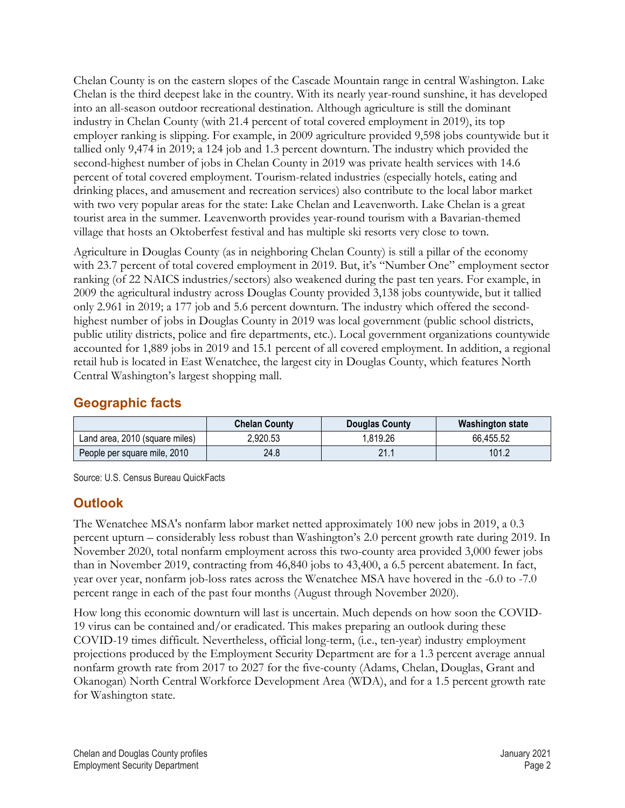Chelan County is on the eastern slopes of the Cascade Mountain range in central Washington. Lake Chelan is the third deepest lake in the country. With its nearly year-round sunshine, it has developed into an all-season outdoor recreational destination. Although agriculture is still the dominant industry in Chelan County (with 21.4 percent of total covered employment in 2019), its top employer ranking is slipping. For example, in 2009 agriculture provided 9,598 jobs countywide but it tallied only 9,474 in 2019; a 124 job and 1.3 percent downturn. The industry which provided the second-highest number of jobs in Chelan County in 2019 was private health services with 14.6 percent of total covered employment. Tourism-related industries (especially hotels, eating and drinking places, and amusement and recreation services) also contribute to the local labor market with two very popular areas for the state: Lake Chelan and Leavenworth. Lake Chelan is a great tourist area in the summer. Leavenworth provides year-round tourism with a Bavarian-themed village that hosts an Oktoberfest festival and has multiple ski resorts very close to town.

Agriculture in Douglas County (as in neighboring Chelan County) is still a pillar of the economy with 23.7 percent of total covered employment in 2019. But, it's "Number One" employment sector ranking (of 22 NAICS industries/sectors) also weakened during the past ten years. For example, in 2009 the agricultural industry across Douglas County provided 3,138 jobs countywide, but it tallied only 2.961 in 2019; a 177 job and 5.6 percent downturn. The industry which offered the secondhighest number of jobs in Douglas County in 2019 was local government (public school districts, public utility districts, police and fire departments, etc.). Local government organizations countywide accounted for 1,889 jobs in 2019 and 15.1 percent of all covered employment. In addition, a regional retail hub is located in East Wenatchee, the largest city in Douglas County, which features North Central Washington's largest shopping mall.

## <span id="page-1-0"></span>**[Geographic facts](#page-0-0)**

|                                | <b>Chelan County</b> | <b>Douglas County</b> | Washington state |
|--------------------------------|----------------------|-----------------------|------------------|
| Land area, 2010 (square miles) | 2.920.53             | .819.26               | 66,455.52        |
| People per square mile, 2010   | 24.8                 | 21.1                  | 101.2            |

Source: U.S. Census Bureau QuickFacts

# <span id="page-1-1"></span>**[Outlook](#page-0-0)**

The Wenatchee MSA's nonfarm labor market netted approximately 100 new jobs in 2019, a 0.3 percent upturn – considerably less robust than Washington's 2.0 percent growth rate during 2019. In November 2020, total nonfarm employment across this two-county area provided 3,000 fewer jobs than in November 2019, contracting from 46,840 jobs to 43,400, a 6.5 percent abatement. In fact, year over year, nonfarm job-loss rates across the Wenatchee MSA have hovered in the -6.0 to -7.0 percent range in each of the past four months (August through November 2020).

How long this economic downturn will last is uncertain. Much depends on how soon the COVID-19 virus can be contained and/or eradicated. This makes preparing an outlook during these COVID-19 times difficult. Nevertheless, official long-term, (i.e., ten-year) industry employment projections produced by the Employment Security Department are for a 1.3 percent average annual nonfarm growth rate from 2017 to 2027 for the five-county (Adams, Chelan, Douglas, Grant and Okanogan) North Central Workforce Development Area (WDA), and for a 1.5 percent growth rate for Washington state.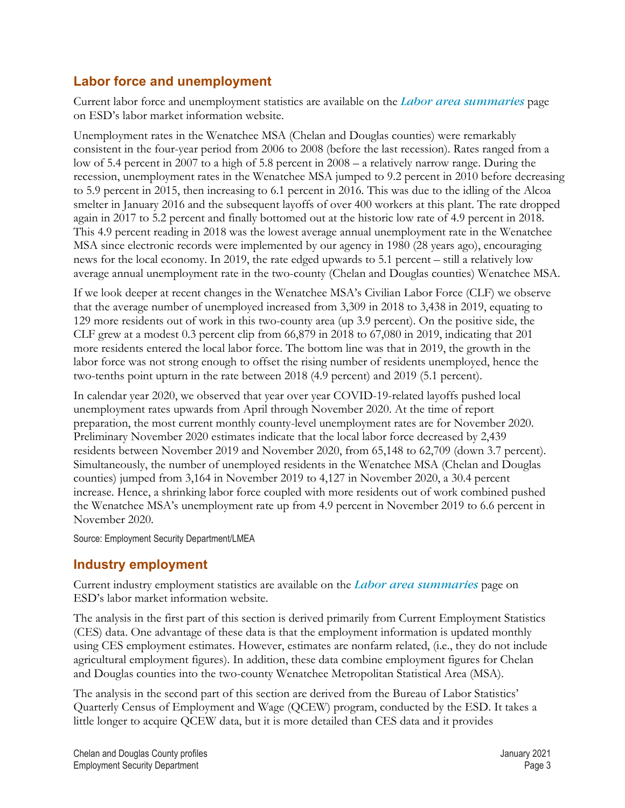# <span id="page-2-0"></span>**[Labor force and unemployment](#page-0-0)**

Current labor force and unemployment statistics are available on the *[Labor area summaries](https://esd.wa.gov/labormarketinfo/labor-area-summaries)* page on ESD's labor market information website.

Unemployment rates in the Wenatchee MSA (Chelan and Douglas counties) were remarkably consistent in the four-year period from 2006 to 2008 (before the last recession). Rates ranged from a low of 5.4 percent in 2007 to a high of 5.8 percent in 2008 – a relatively narrow range. During the recession, unemployment rates in the Wenatchee MSA jumped to 9.2 percent in 2010 before decreasing to 5.9 percent in 2015, then increasing to 6.1 percent in 2016. This was due to the idling of the Alcoa smelter in January 2016 and the subsequent layoffs of over 400 workers at this plant. The rate dropped again in 2017 to 5.2 percent and finally bottomed out at the historic low rate of 4.9 percent in 2018. This 4.9 percent reading in 2018 was the lowest average annual unemployment rate in the Wenatchee MSA since electronic records were implemented by our agency in 1980 (28 years ago), encouraging news for the local economy. In 2019, the rate edged upwards to 5.1 percent – still a relatively low average annual unemployment rate in the two-county (Chelan and Douglas counties) Wenatchee MSA.

If we look deeper at recent changes in the Wenatchee MSA's Civilian Labor Force (CLF) we observe that the average number of unemployed increased from 3,309 in 2018 to 3,438 in 2019, equating to 129 more residents out of work in this two-county area (up 3.9 percent). On the positive side, the CLF grew at a modest 0.3 percent clip from 66,879 in 2018 to 67,080 in 2019, indicating that 201 more residents entered the local labor force. The bottom line was that in 2019, the growth in the labor force was not strong enough to offset the rising number of residents unemployed, hence the two-tenths point upturn in the rate between 2018 (4.9 percent) and 2019 (5.1 percent).

In calendar year 2020, we observed that year over year COVID-19-related layoffs pushed local unemployment rates upwards from April through November 2020. At the time of report preparation, the most current monthly county-level unemployment rates are for November 2020. Preliminary November 2020 estimates indicate that the local labor force decreased by 2,439 residents between November 2019 and November 2020, from 65,148 to 62,709 (down 3.7 percent). Simultaneously, the number of unemployed residents in the Wenatchee MSA (Chelan and Douglas counties) jumped from 3,164 in November 2019 to 4,127 in November 2020, a 30.4 percent increase. Hence, a shrinking labor force coupled with more residents out of work combined pushed the Wenatchee MSA's unemployment rate up from 4.9 percent in November 2019 to 6.6 percent in November 2020.

Source: Employment Security Department/LMEA

# <span id="page-2-1"></span>**[Industry employment](#page-0-0)**

Current industry employment statistics are available on the *[Labor area summaries](https://esd.wa.gov/labormarketinfo/labor-area-summaries)* page on ESD's labor market information website.

The analysis in the first part of this section is derived primarily from Current Employment Statistics (CES) data. One advantage of these data is that the employment information is updated monthly using CES employment estimates. However, estimates are nonfarm related, (i.e., they do not include agricultural employment figures). In addition, these data combine employment figures for Chelan and Douglas counties into the two-county Wenatchee Metropolitan Statistical Area (MSA).

The analysis in the second part of this section are derived from the Bureau of Labor Statistics' Quarterly Census of Employment and Wage (QCEW) program, conducted by the ESD. It takes a little longer to acquire QCEW data, but it is more detailed than CES data and it provides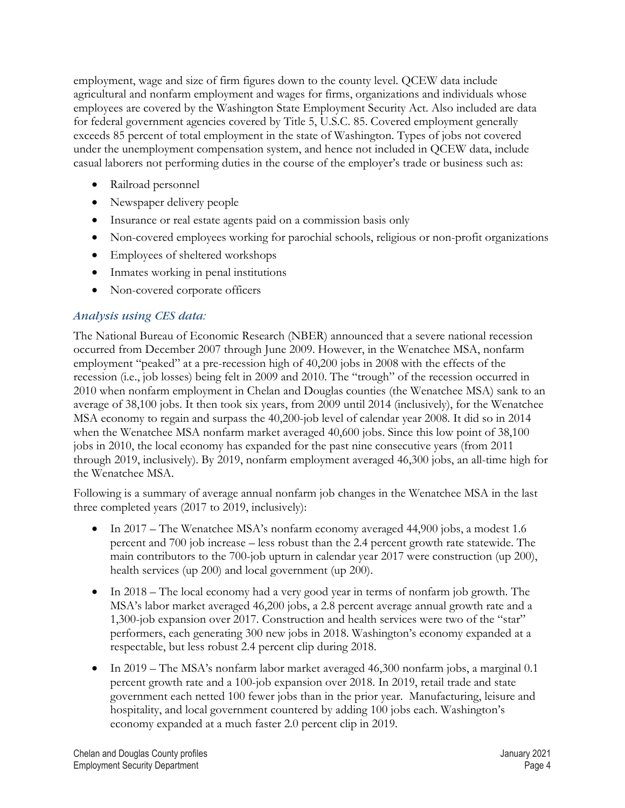employment, wage and size of firm figures down to the county level. QCEW data include agricultural and nonfarm employment and wages for firms, organizations and individuals whose employees are covered by the Washington State Employment Security Act. Also included are data for federal government agencies covered by Title 5, U.S.C. 85. Covered employment generally exceeds 85 percent of total employment in the state of Washington. Types of jobs not covered under the unemployment compensation system, and hence not included in QCEW data, include casual laborers not performing duties in the course of the employer's trade or business such as:

- Railroad personnel
- Newspaper delivery people
- Insurance or real estate agents paid on a commission basis only
- Non-covered employees working for parochial schools, religious or non-profit organizations
- Employees of sheltered workshops
- Inmates working in penal institutions
- Non-covered corporate officers

#### *[Analysis using CES data:](#page-0-0)*

The National Bureau of Economic Research (NBER) announced that a severe national recession occurred from December 2007 through June 2009. However, in the Wenatchee MSA, nonfarm employment "peaked" at a pre-recession high of 40,200 jobs in 2008 with the effects of the recession (i.e., job losses) being felt in 2009 and 2010. The "trough" of the recession occurred in 2010 when nonfarm employment in Chelan and Douglas counties (the Wenatchee MSA) sank to an average of 38,100 jobs. It then took six years, from 2009 until 2014 (inclusively), for the Wenatchee MSA economy to regain and surpass the 40,200-job level of calendar year 2008. It did so in 2014 when the Wenatchee MSA nonfarm market averaged 40,600 jobs. Since this low point of 38,100 jobs in 2010, the local economy has expanded for the past nine consecutive years (from 2011 through 2019, inclusively). By 2019, nonfarm employment averaged 46,300 jobs, an all-time high for the Wenatchee MSA.

Following is a summary of average annual nonfarm job changes in the Wenatchee MSA in the last three completed years (2017 to 2019, inclusively):

- In 2017 The Wenatchee MSA's nonfarm economy averaged 44,900 jobs, a modest 1.6 percent and 700 job increase – less robust than the 2.4 percent growth rate statewide. The main contributors to the 700-job upturn in calendar year 2017 were construction (up 200), health services (up 200) and local government (up 200).
- In 2018 The local economy had a very good year in terms of nonfarm job growth. The MSA's labor market averaged 46,200 jobs, a 2.8 percent average annual growth rate and a 1,300-job expansion over 2017. Construction and health services were two of the "star" performers, each generating 300 new jobs in 2018. Washington's economy expanded at a respectable, but less robust 2.4 percent clip during 2018.
- In 2019 The MSA's nonfarm labor market averaged 46,300 nonfarm jobs, a marginal 0.1 percent growth rate and a 100-job expansion over 2018. In 2019, retail trade and state government each netted 100 fewer jobs than in the prior year. Manufacturing, leisure and hospitality, and local government countered by adding 100 jobs each. Washington's economy expanded at a much faster 2.0 percent clip in 2019.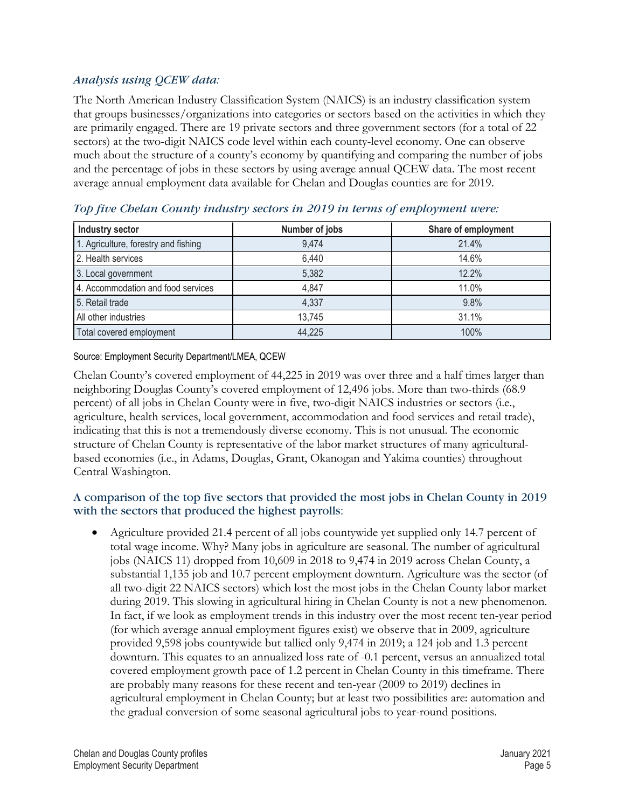#### *[Analysis using QCEW data:](#page-0-0)*

The North American Industry Classification System (NAICS) is an industry classification system that groups businesses/organizations into categories or sectors based on the activities in which they are primarily engaged. There are 19 private sectors and three government sectors (for a total of 22 sectors) at the two-digit NAICS code level within each county-level economy. One can observe much about the structure of a county's economy by quantifying and comparing the number of jobs and the percentage of jobs in these sectors by using average annual QCEW data. The most recent average annual employment data available for Chelan and Douglas counties are for 2019.

| Industry sector                      | Number of jobs | Share of employment |
|--------------------------------------|----------------|---------------------|
| 1. Agriculture, forestry and fishing | 9,474          | 21.4%               |
| 2. Health services                   | 6,440          | 14.6%               |
| 3. Local government                  | 5,382          | 12.2%               |
| 4. Accommodation and food services   | 4,847          | 11.0%               |
| 5. Retail trade                      | 4,337          | 9.8%                |
| All other industries                 | 13,745         | 31.1%               |
| Total covered employment             | 44,225         | 100%                |

#### *Top five Chelan County industry sectors in 2019 in terms of employment were:*

Source: Employment Security Department/LMEA, QCEW

Chelan County's covered employment of 44,225 in 2019 was over three and a half times larger than neighboring Douglas County's covered employment of 12,496 jobs. More than two-thirds (68.9 percent) of all jobs in Chelan County were in five, two-digit NAICS industries or sectors (i.e., agriculture, health services, local government, accommodation and food services and retail trade), indicating that this is not a tremendously diverse economy. This is not unusual. The economic structure of Chelan County is representative of the labor market structures of many agriculturalbased economies (i.e., in Adams, Douglas, Grant, Okanogan and Yakima counties) throughout Central Washington.

#### A comparison of the top five sectors that provided the most jobs in Chelan County in 2019 with the sectors that produced the highest payrolls:

• Agriculture provided 21.4 percent of all jobs countywide yet supplied only 14.7 percent of total wage income. Why? Many jobs in agriculture are seasonal. The number of agricultural jobs (NAICS 11) dropped from 10,609 in 2018 to 9,474 in 2019 across Chelan County, a substantial 1,135 job and 10.7 percent employment downturn. Agriculture was the sector (of all two-digit 22 NAICS sectors) which lost the most jobs in the Chelan County labor market during 2019. This slowing in agricultural hiring in Chelan County is not a new phenomenon. In fact, if we look as employment trends in this industry over the most recent ten-year period (for which average annual employment figures exist) we observe that in 2009, agriculture provided 9,598 jobs countywide but tallied only 9,474 in 2019; a 124 job and 1.3 percent downturn. This equates to an annualized loss rate of -0.1 percent, versus an annualized total covered employment growth pace of 1.2 percent in Chelan County in this timeframe. There are probably many reasons for these recent and ten-year (2009 to 2019) declines in agricultural employment in Chelan County; but at least two possibilities are: automation and the gradual conversion of some seasonal agricultural jobs to year-round positions.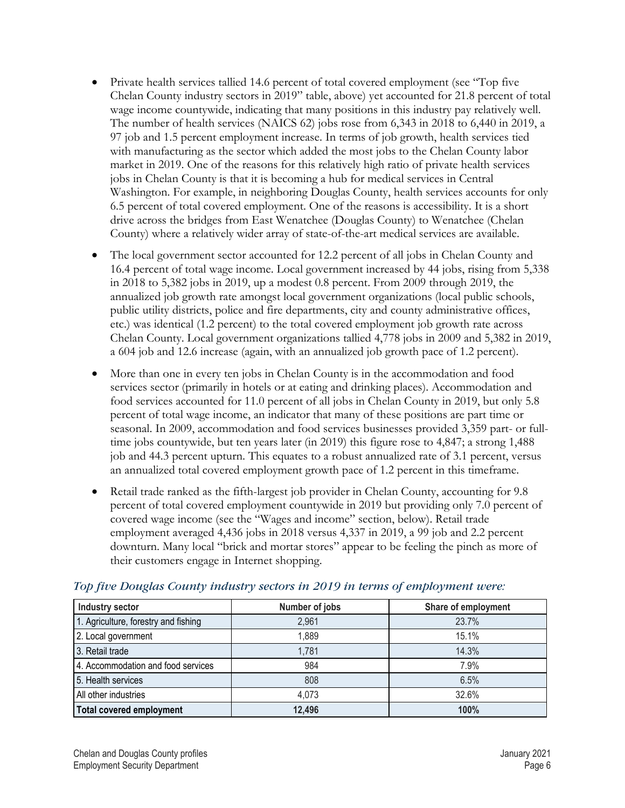- Private health services tallied 14.6 percent of total covered employment (see "Top five Chelan County industry sectors in 2019" table, above) yet accounted for 21.8 percent of total wage income countywide, indicating that many positions in this industry pay relatively well. The number of health services (NAICS 62) jobs rose from 6,343 in 2018 to 6,440 in 2019, a 97 job and 1.5 percent employment increase. In terms of job growth, health services tied with manufacturing as the sector which added the most jobs to the Chelan County labor market in 2019. One of the reasons for this relatively high ratio of private health services jobs in Chelan County is that it is becoming a hub for medical services in Central Washington. For example, in neighboring Douglas County, health services accounts for only 6.5 percent of total covered employment. One of the reasons is accessibility. It is a short drive across the bridges from East Wenatchee (Douglas County) to Wenatchee (Chelan County) where a relatively wider array of state-of-the-art medical services are available.
- The local government sector accounted for 12.2 percent of all jobs in Chelan County and 16.4 percent of total wage income. Local government increased by 44 jobs, rising from 5,338 in 2018 to 5,382 jobs in 2019, up a modest 0.8 percent. From 2009 through 2019, the annualized job growth rate amongst local government organizations (local public schools, public utility districts, police and fire departments, city and county administrative offices, etc.) was identical (1.2 percent) to the total covered employment job growth rate across Chelan County. Local government organizations tallied 4,778 jobs in 2009 and 5,382 in 2019, a 604 job and 12.6 increase (again, with an annualized job growth pace of 1.2 percent).
- More than one in every ten jobs in Chelan County is in the accommodation and food services sector (primarily in hotels or at eating and drinking places). Accommodation and food services accounted for 11.0 percent of all jobs in Chelan County in 2019, but only 5.8 percent of total wage income, an indicator that many of these positions are part time or seasonal. In 2009, accommodation and food services businesses provided 3,359 part- or fulltime jobs countywide, but ten years later (in 2019) this figure rose to 4,847; a strong 1,488 job and 44.3 percent upturn. This equates to a robust annualized rate of 3.1 percent, versus an annualized total covered employment growth pace of 1.2 percent in this timeframe.
- Retail trade ranked as the fifth-largest job provider in Chelan County, accounting for 9.8 percent of total covered employment countywide in 2019 but providing only 7.0 percent of covered wage income (see the "Wages and income" section, below). Retail trade employment averaged 4,436 jobs in 2018 versus 4,337 in 2019, a 99 job and 2.2 percent downturn. Many local "brick and mortar stores" appear to be feeling the pinch as more of their customers engage in Internet shopping.

| Industry sector                      | Number of jobs | Share of employment |
|--------------------------------------|----------------|---------------------|
| 1. Agriculture, forestry and fishing | 2,961          | 23.7%               |
| 2. Local government                  | 1,889          | 15.1%               |
| 3. Retail trade                      | 1,781          | 14.3%               |
| 4. Accommodation and food services   | 984            | 7.9%                |
| 5. Health services                   | 808            | 6.5%                |
| All other industries                 | 4,073          | 32.6%               |
| <b>Total covered employment</b>      | 12,496         | 100%                |

#### *Top five Douglas County industry sectors in 2019 in terms of employment were:*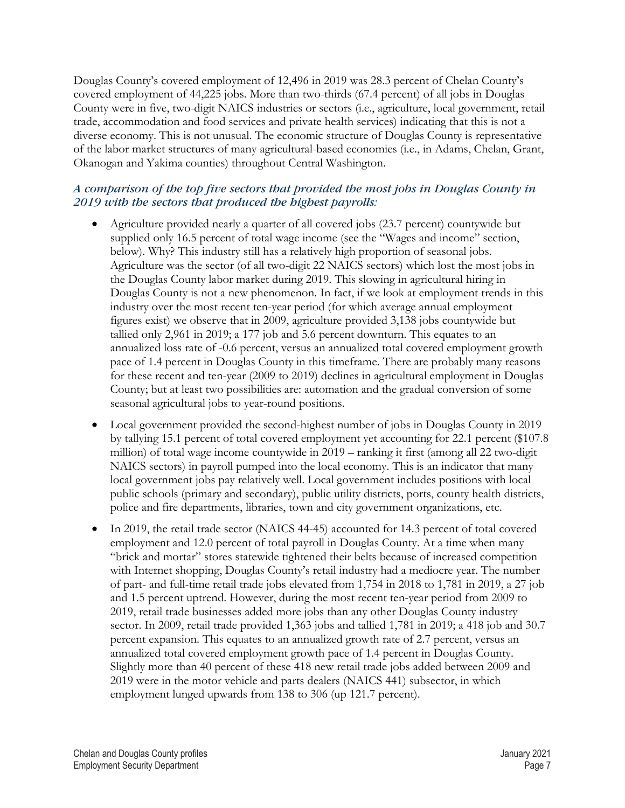Douglas County's covered employment of 12,496 in 2019 was 28.3 percent of Chelan County's covered employment of 44,225 jobs. More than two-thirds (67.4 percent) of all jobs in Douglas County were in five, two-digit NAICS industries or sectors (i.e., agriculture, local government, retail trade, accommodation and food services and private health services) indicating that this is not a diverse economy. This is not unusual. The economic structure of Douglas County is representative of the labor market structures of many agricultural-based economies (i.e., in Adams, Chelan, Grant, Okanogan and Yakima counties) throughout Central Washington.

#### *A comparison of the top five sectors that provided the most jobs in Douglas County in 2019 with the sectors that produced the highest payrolls:*

- Agriculture provided nearly a quarter of all covered jobs (23.7 percent) countywide but supplied only 16.5 percent of total wage income (see the "Wages and income" section, below). Why? This industry still has a relatively high proportion of seasonal jobs. Agriculture was the sector (of all two-digit 22 NAICS sectors) which lost the most jobs in the Douglas County labor market during 2019. This slowing in agricultural hiring in Douglas County is not a new phenomenon. In fact, if we look at employment trends in this industry over the most recent ten-year period (for which average annual employment figures exist) we observe that in 2009, agriculture provided 3,138 jobs countywide but tallied only 2,961 in 2019; a 177 job and 5.6 percent downturn. This equates to an annualized loss rate of -0.6 percent, versus an annualized total covered employment growth pace of 1.4 percent in Douglas County in this timeframe. There are probably many reasons for these recent and ten-year (2009 to 2019) declines in agricultural employment in Douglas County; but at least two possibilities are: automation and the gradual conversion of some seasonal agricultural jobs to year-round positions.
- Local government provided the second-highest number of jobs in Douglas County in 2019 by tallying 15.1 percent of total covered employment yet accounting for 22.1 percent (\$107.8 million) of total wage income countywide in 2019 – ranking it first (among all 22 two-digit NAICS sectors) in payroll pumped into the local economy. This is an indicator that many local government jobs pay relatively well. Local government includes positions with local public schools (primary and secondary), public utility districts, ports, county health districts, police and fire departments, libraries, town and city government organizations, etc.
- In 2019, the retail trade sector (NAICS 44-45) accounted for 14.3 percent of total covered employment and 12.0 percent of total payroll in Douglas County. At a time when many "brick and mortar" stores statewide tightened their belts because of increased competition with Internet shopping, Douglas County's retail industry had a mediocre year. The number of part- and full-time retail trade jobs elevated from 1,754 in 2018 to 1,781 in 2019, a 27 job and 1.5 percent uptrend. However, during the most recent ten-year period from 2009 to 2019, retail trade businesses added more jobs than any other Douglas County industry sector. In 2009, retail trade provided 1,363 jobs and tallied 1,781 in 2019; a 418 job and 30.7 percent expansion. This equates to an annualized growth rate of 2.7 percent, versus an annualized total covered employment growth pace of 1.4 percent in Douglas County. Slightly more than 40 percent of these 418 new retail trade jobs added between 2009 and 2019 were in the motor vehicle and parts dealers (NAICS 441) subsector, in which employment lunged upwards from 138 to 306 (up 121.7 percent).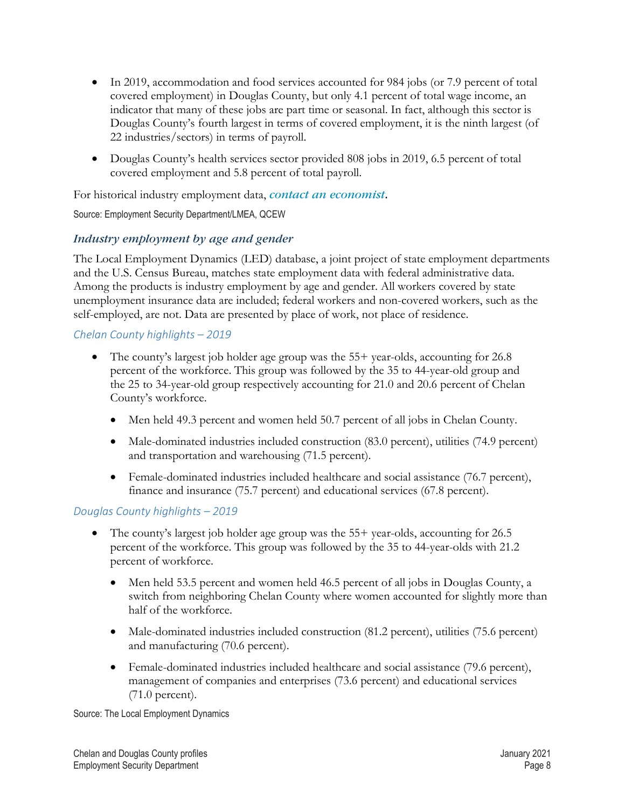- In 2019, accommodation and food services accounted for 984 jobs (or 7.9 percent of total covered employment) in Douglas County, but only 4.1 percent of total wage income, an indicator that many of these jobs are part time or seasonal. In fact, although this sector is Douglas County's fourth largest in terms of covered employment, it is the ninth largest (of 22 industries/sectors) in terms of payroll.
- Douglas County's health services sector provided 808 jobs in 2019, 6.5 percent of total covered employment and 5.8 percent of total payroll.

For historical industry employment data, *[contact an economist](https://esd.wa.gov/labormarketinfo/economists/meseck)*[.](https://esd.wa.gov/labormarketinfo/economists/meseck)

Source: Employment Security Department/LMEA, QCEW

#### *[Industry employment by age and gender](#page-0-0)*

The Local Employment Dynamics (LED) database, a joint project of state employment departments and the U.S. Census Bureau, matches state employment data with federal administrative data. Among the products is industry employment by age and gender. All workers covered by state unemployment insurance data are included; federal workers and non-covered workers, such as the self-employed, are not. Data are presented by place of work, not place of residence.

#### *Chelan County highlights – 2019*

- The county's largest job holder age group was the 55+ year-olds, accounting for 26.8 percent of the workforce. This group was followed by the 35 to 44-year-old group and the 25 to 34-year-old group respectively accounting for 21.0 and 20.6 percent of Chelan County's workforce.
	- Men held 49.3 percent and women held 50.7 percent of all jobs in Chelan County.
	- Male-dominated industries included construction (83.0 percent), utilities (74.9 percent) and transportation and warehousing (71.5 percent).
	- Female-dominated industries included healthcare and social assistance (76.7 percent), finance and insurance (75.7 percent) and educational services (67.8 percent).

#### *Douglas County highlights – 2019*

- The county's largest job holder age group was the 55+ year-olds, accounting for 26.5 percent of the workforce. This group was followed by the 35 to 44-year-olds with 21.2 percent of workforce.
	- Men held 53.5 percent and women held 46.5 percent of all jobs in Douglas County, a switch from neighboring Chelan County where women accounted for slightly more than half of the workforce.
	- Male-dominated industries included construction (81.2 percent), utilities (75.6 percent) and manufacturing (70.6 percent).
	- Female-dominated industries included healthcare and social assistance (79.6 percent), management of companies and enterprises (73.6 percent) and educational services (71.0 percent).

Source: The Local Employment Dynamics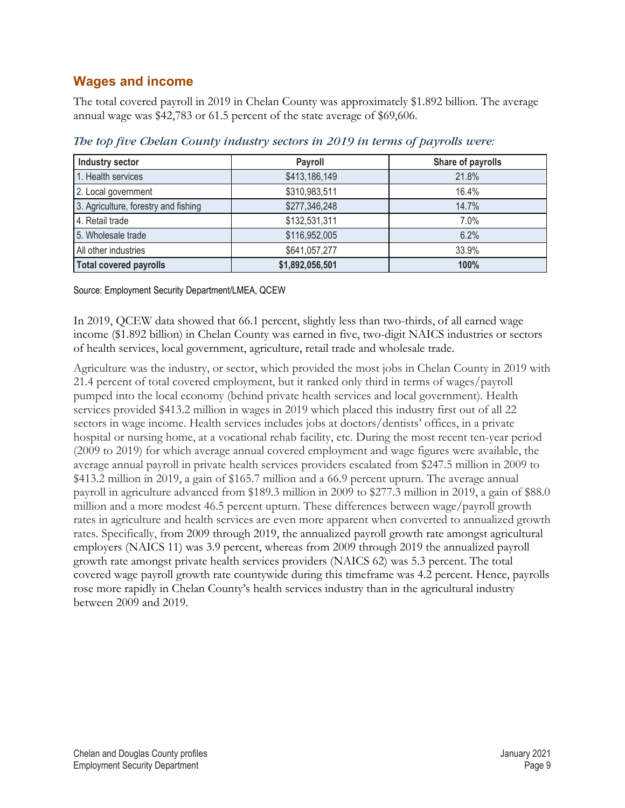# <span id="page-8-0"></span>**[Wages and income](#page-0-0)**

The total covered payroll in 2019 in Chelan County was approximately \$1.892 billion. The average annual wage was \$42,783 or 61.5 percent of the state average of \$69,606.

| Industry sector                      | Payroll         | Share of payrolls |
|--------------------------------------|-----------------|-------------------|
| 1. Health services                   | \$413,186,149   | 21.8%             |
| 2. Local government                  | \$310,983,511   | 16.4%             |
| 3. Agriculture, forestry and fishing | \$277,346,248   | 14.7%             |
| 4. Retail trade                      | \$132,531,311   | 7.0%              |
| 5. Wholesale trade                   | \$116,952,005   | 6.2%              |
| All other industries                 | \$641,057,277   | 33.9%             |
| <b>Total covered payrolls</b>        | \$1,892,056,501 | 100%              |

*The top five Chelan County industry sectors in 2019 in terms of payrolls were:*

Source: Employment Security Department/LMEA, QCEW

In 2019, QCEW data showed that 66.1 percent, slightly less than two-thirds, of all earned wage income (\$1.892 billion) in Chelan County was earned in five, two-digit NAICS industries or sectors of health services, local government, agriculture, retail trade and wholesale trade.

Agriculture was the industry, or sector, which provided the most jobs in Chelan County in 2019 with 21.4 percent of total covered employment, but it ranked only third in terms of wages/payroll pumped into the local economy (behind private health services and local government). Health services provided \$413.2 million in wages in 2019 which placed this industry first out of all 22 sectors in wage income. Health services includes jobs at doctors/dentists' offices, in a private hospital or nursing home, at a vocational rehab facility, etc. During the most recent ten-year period (2009 to 2019) for which average annual covered employment and wage figures were available, the average annual payroll in private health services providers escalated from \$247.5 million in 2009 to \$413.2 million in 2019, a gain of \$165.7 million and a 66.9 percent upturn. The average annual payroll in agriculture advanced from \$189.3 million in 2009 to \$277.3 million in 2019, a gain of \$88.0 million and a more modest 46.5 percent upturn. These differences between wage/payroll growth rates in agriculture and health services are even more apparent when converted to annualized growth rates. Specifically, from 2009 through 2019, the annualized payroll growth rate amongst agricultural employers (NAICS 11) was 3.9 percent, whereas from 2009 through 2019 the annualized payroll growth rate amongst private health services providers (NAICS 62) was 5.3 percent. The total covered wage payroll growth rate countywide during this timeframe was 4.2 percent. Hence, payrolls rose more rapidly in Chelan County's health services industry than in the agricultural industry between 2009 and 2019.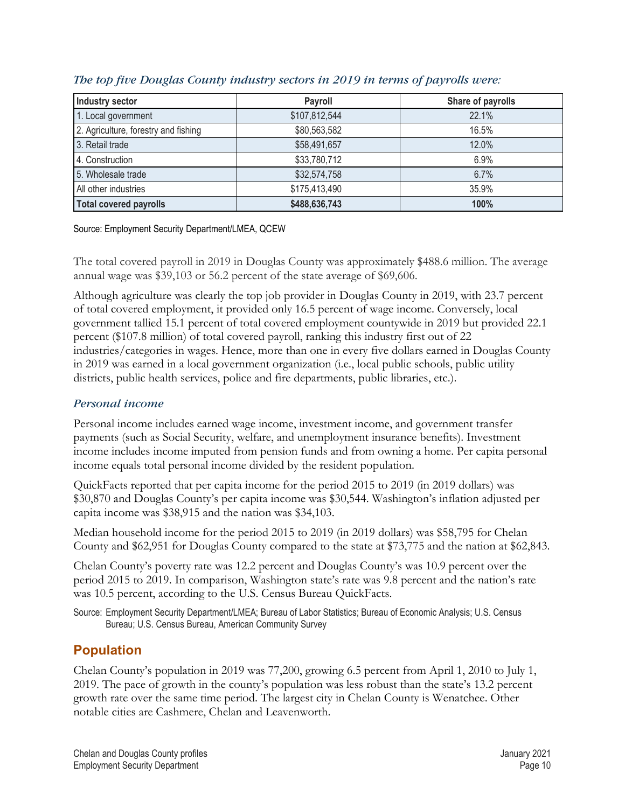| <b>Industry sector</b>               | Payroll       | Share of payrolls |
|--------------------------------------|---------------|-------------------|
| 1. Local government                  | \$107,812,544 | 22.1%             |
| 2. Agriculture, forestry and fishing | \$80,563,582  | 16.5%             |
| 3. Retail trade                      | \$58,491,657  | 12.0%             |
| 4. Construction                      | \$33,780,712  | 6.9%              |
| 5. Wholesale trade                   | \$32,574,758  | 6.7%              |
| All other industries                 | \$175,413,490 | 35.9%             |
| <b>Total covered payrolls</b>        | \$488,636,743 | 100%              |

#### *The top five Douglas County industry sectors in 2019 in terms of payrolls were:*

Source: Employment Security Department/LMEA, QCEW

The total covered payroll in 2019 in Douglas County was approximately \$488.6 million. The average annual wage was \$39,103 or 56.2 percent of the state average of \$69,606.

Although agriculture was clearly the top job provider in Douglas County in 2019, with 23.7 percent of total covered employment, it provided only 16.5 percent of wage income. Conversely, local government tallied 15.1 percent of total covered employment countywide in 2019 but provided 22.1 percent (\$107.8 million) of total covered payroll, ranking this industry first out of 22 industries/categories in wages. Hence, more than one in every five dollars earned in Douglas County in 2019 was earned in a local government organization (i.e., local public schools, public utility districts, public health services, police and fire departments, public libraries, etc.).

#### *[Personal income](#page-0-0)*

Personal income includes earned wage income, investment income, and government transfer payments (such as Social Security, welfare, and unemployment insurance benefits). Investment income includes income imputed from pension funds and from owning a home. Per capita personal income equals total personal income divided by the resident population.

QuickFacts reported that per capita income for the period 2015 to 2019 (in 2019 dollars) was \$30,870 and Douglas County's per capita income was \$30,544. Washington's inflation adjusted per capita income was \$38,915 and the nation was \$34,103.

Median household income for the period 2015 to 2019 (in 2019 dollars) was \$58,795 for Chelan County and \$62,951 for Douglas County compared to the state at \$73,775 and the nation at \$62,843.

Chelan County's poverty rate was 12.2 percent and Douglas County's was 10.9 percent over the period 2015 to 2019. In comparison, Washington state's rate was 9.8 percent and the nation's rate was 10.5 percent, according to the U.S. Census Bureau QuickFacts.

Source: Employment Security Department/LMEA; Bureau of Labor Statistics; Bureau of Economic Analysis; U.S. Census Bureau; U.S. Census Bureau, American Community Survey

# <span id="page-9-0"></span>**[Population](#page-0-0)**

Chelan County's population in 2019 was 77,200, growing 6.5 percent from April 1, 2010 to July 1, 2019. The pace of growth in the county's population was less robust than the state's 13.2 percent growth rate over the same time period. The largest city in Chelan County is Wenatchee. Other notable cities are Cashmere, Chelan and Leavenworth.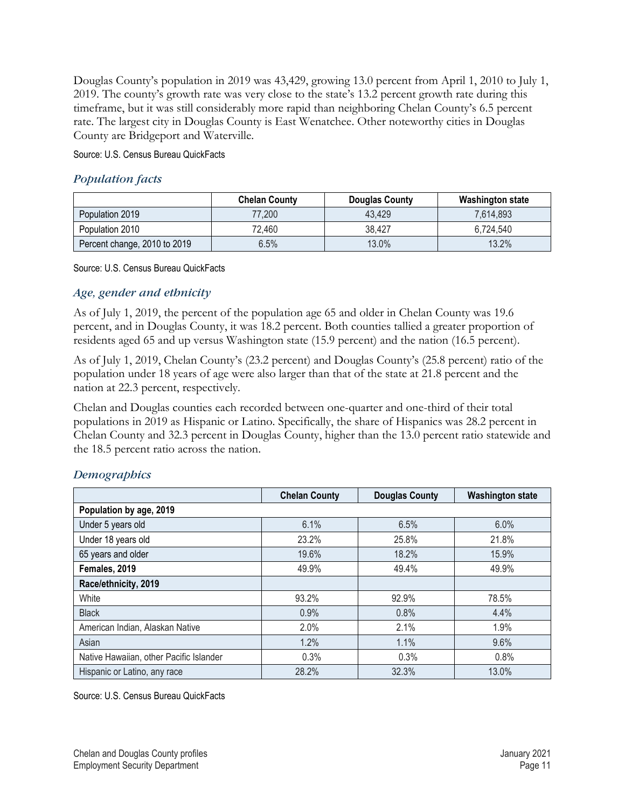Douglas County's population in 2019 was 43,429, growing 13.0 percent from April 1, 2010 to July 1, 2019. The county's growth rate was very close to the state's 13.2 percent growth rate during this timeframe, but it was still considerably more rapid than neighboring Chelan County's 6.5 percent rate. The largest city in Douglas County is East Wenatchee. Other noteworthy cities in Douglas County are Bridgeport and Waterville.

Source: U.S. Census Bureau QuickFacts

#### *Population facts*

|                              | <b>Chelan County</b> | Douglas County | <b>Washington state</b> |
|------------------------------|----------------------|----------------|-------------------------|
| Population 2019              | 77,200               | 43.429         | 7,614,893               |
| Population 2010              | 72,460               | 38.427         | 6,724,540               |
| Percent change, 2010 to 2019 | 6.5%                 | 13.0%          | 13.2%                   |

Source: U.S. Census Bureau QuickFacts

#### *Age, gender and ethnicity*

As of July 1, 2019, the percent of the population age 65 and older in Chelan County was 19.6 percent, and in Douglas County, it was 18.2 percent. Both counties tallied a greater proportion of residents aged 65 and up versus Washington state (15.9 percent) and the nation (16.5 percent).

As of July 1, 2019, Chelan County's (23.2 percent) and Douglas County's (25.8 percent) ratio of the population under 18 years of age were also larger than that of the state at 21.8 percent and the nation at 22.3 percent, respectively.

Chelan and Douglas counties each recorded between one-quarter and one-third of their total populations in 2019 as Hispanic or Latino. Specifically, the share of Hispanics was 28.2 percent in Chelan County and 32.3 percent in Douglas County, higher than the 13.0 percent ratio statewide and the 18.5 percent ratio across the nation.

|                                         | <b>Chelan County</b> | <b>Douglas County</b> | <b>Washington state</b> |
|-----------------------------------------|----------------------|-----------------------|-------------------------|
| Population by age, 2019                 |                      |                       |                         |
| Under 5 years old                       | 6.1%                 | 6.5%                  | 6.0%                    |
| Under 18 years old                      | 23.2%                | 25.8%                 | 21.8%                   |
| 65 years and older                      | 19.6%                | 18.2%                 | 15.9%                   |
| Females, 2019                           | 49.9%                | 49.4%                 | 49.9%                   |
| Race/ethnicity, 2019                    |                      |                       |                         |
| White                                   | 93.2%                | 92.9%                 | 78.5%                   |
| <b>Black</b>                            | 0.9%                 | 0.8%                  | 4.4%                    |
| American Indian, Alaskan Native         | 2.0%                 | 2.1%                  | 1.9%                    |
| Asian                                   | 1.2%                 | 1.1%                  | 9.6%                    |
| Native Hawaiian, other Pacific Islander | 0.3%                 | 0.3%                  | 0.8%                    |
| Hispanic or Latino, any race            | 28.2%                | 32.3%                 | 13.0%                   |

#### *Demographics*

Source: U.S. Census Bureau QuickFacts